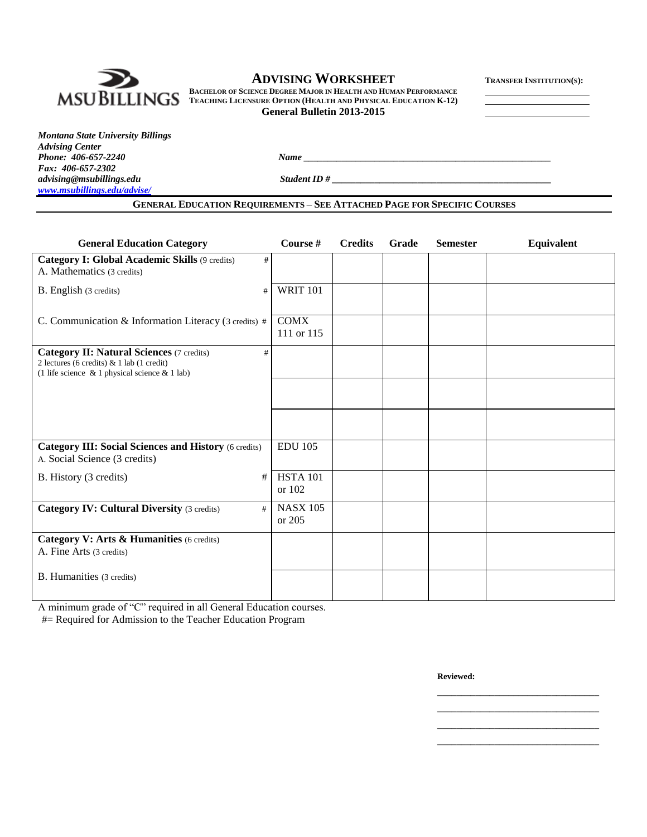

# $\bf ADVISING WORKSHEET$  **TRANSFER INSTITUTION**(S):

**BACHELOR OF SCIENCE DEGREE MAJOR IN HEALTH AND HUMAN PERFORMANCE TEACHING LICENSURE OPTION (HEALTH AND PHYSICAL EDUCATION K-12) General Bulletin 2013-2015**

| <b>Montana State University Billings</b> |
|------------------------------------------|
| <b>Advising Center</b>                   |
| Phone: 406-657-2240                      |
| Fax: 406-657-2302                        |
| advising@msubillings.edu                 |
| www.msubillings.edu/advise/              |

*Phone: 406-657-2240 Name \_\_\_\_\_\_\_\_\_\_\_\_\_\_\_\_\_\_\_\_\_\_\_\_\_\_\_\_\_\_\_\_\_\_\_\_\_\_\_\_\_\_\_\_\_\_\_\_\_\_\_\_*

*advising@msubillings.edu Student ID # \_\_\_\_\_\_\_\_\_\_\_\_\_\_\_\_\_\_\_\_\_\_\_\_\_\_\_\_\_\_\_\_\_\_\_\_\_\_\_\_\_\_\_\_\_\_*

### **GENERAL EDUCATION REQUIREMENTS – SEE ATTACHED PAGE FOR SPECIFIC COURSES**

| <b>General Education Category</b>                                                                                                                         | Course #                  | <b>Credits</b> | Grade | <b>Semester</b> | Equivalent |
|-----------------------------------------------------------------------------------------------------------------------------------------------------------|---------------------------|----------------|-------|-----------------|------------|
| Category I: Global Academic Skills (9 credits)<br>#<br>A. Mathematics (3 credits)                                                                         |                           |                |       |                 |            |
| B. English (3 credits)<br>#                                                                                                                               | <b>WRIT 101</b>           |                |       |                 |            |
| C. Communication & Information Literacy (3 credits) #                                                                                                     | <b>COMX</b><br>111 or 115 |                |       |                 |            |
| <b>Category II: Natural Sciences</b> (7 credits)<br>#<br>2 lectures (6 credits) & 1 lab (1 credit)<br>(1 life science $\&$ 1 physical science $\&$ 1 lab) |                           |                |       |                 |            |
|                                                                                                                                                           |                           |                |       |                 |            |
|                                                                                                                                                           |                           |                |       |                 |            |
| <b>Category III: Social Sciences and History (6 credits)</b><br>A. Social Science (3 credits)                                                             | <b>EDU 105</b>            |                |       |                 |            |
| B. History (3 credits)<br>#                                                                                                                               | <b>HSTA 101</b><br>or 102 |                |       |                 |            |
| <b>Category IV: Cultural Diversity (3 credits)</b><br>#                                                                                                   | <b>NASX 105</b><br>or 205 |                |       |                 |            |
| Category V: Arts & Humanities (6 credits)<br>A. Fine Arts (3 credits)                                                                                     |                           |                |       |                 |            |
| B. Humanities (3 credits)                                                                                                                                 |                           |                |       |                 |            |

A minimum grade of "C" required in all General Education courses.

#= Required for Admission to the Teacher Education Program

**Reviewed:**

\_\_\_\_\_\_\_\_\_\_\_\_\_\_\_\_\_\_\_\_\_\_\_\_\_\_\_\_\_\_\_\_\_\_ \_\_\_\_\_\_\_\_\_\_\_\_\_\_\_\_\_\_\_\_\_\_\_\_\_\_\_\_\_\_\_\_\_\_ \_\_\_\_\_\_\_\_\_\_\_\_\_\_\_\_\_\_\_\_\_\_\_\_\_\_\_\_\_\_\_\_\_\_ \_\_\_\_\_\_\_\_\_\_\_\_\_\_\_\_\_\_\_\_\_\_\_\_\_\_\_\_\_\_\_\_\_\_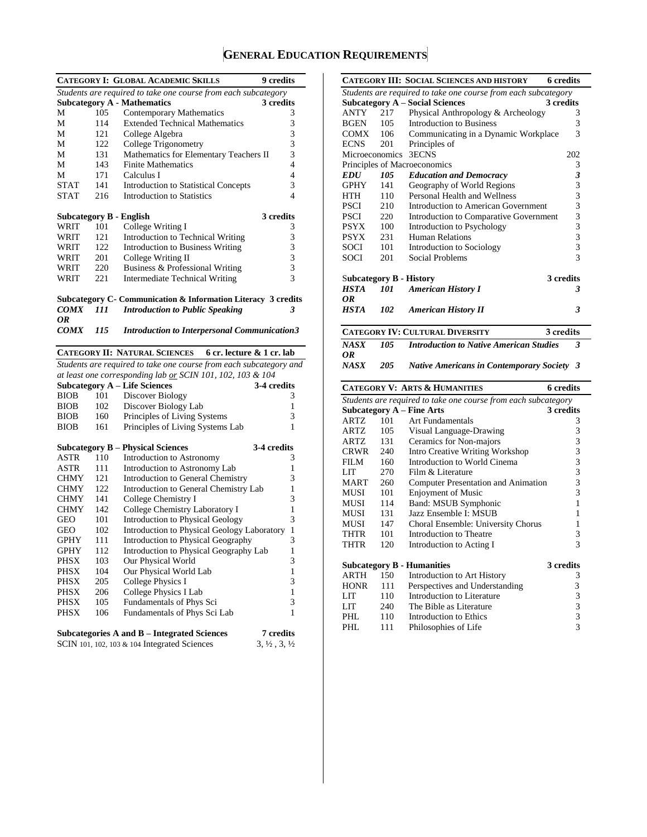# **GENERAL EDUCATION REQUIREMENTS**

|                                |     | <b>CATEGORY I: GLOBAL ACADEMIC SKILLS</b>                          | <b>9</b> credits                 |
|--------------------------------|-----|--------------------------------------------------------------------|----------------------------------|
|                                |     | Students are required to take one course from each subcategory     |                                  |
|                                |     | <b>Subcategory A - Mathematics</b>                                 | 3 credits                        |
| М                              | 105 | Contemporary Mathematics                                           | 3                                |
| М                              | 114 | <b>Extended Technical Mathematics</b>                              | 3                                |
| М                              | 121 | College Algebra                                                    | 3                                |
| М                              | 122 | College Trigonometry                                               | 3                                |
| М                              | 131 | Mathematics for Elementary Teachers II                             | 3                                |
| М                              | 143 | <b>Finite Mathematics</b>                                          | 4                                |
| М                              | 171 | Calculus I                                                         | 4                                |
| <b>STAT</b>                    | 141 | <b>Introduction to Statistical Concepts</b>                        | 3                                |
| STAT                           | 216 | <b>Introduction to Statistics</b>                                  | 4                                |
|                                |     |                                                                    |                                  |
| <b>Subcategory B - English</b> |     |                                                                    | 3 credits                        |
| WRIT                           | 101 | College Writing I                                                  | 3                                |
| WRIT                           | 121 | Introduction to Technical Writing                                  | 3                                |
| WRIT                           | 122 | Introduction to Business Writing                                   | 3                                |
| WRIT                           | 201 | College Writing II                                                 | 3                                |
| WRIT                           | 220 | Business & Professional Writing                                    | 3                                |
| WRIT                           | 221 | <b>Intermediate Technical Writing</b>                              | 3                                |
|                                |     |                                                                    |                                  |
|                                |     | Subcategory C- Communication & Information Literacy 3 credits      |                                  |
| <b>COMX</b>                    | 111 | <b>Introduction to Public Speaking</b>                             | 3                                |
| 0R                             |     |                                                                    |                                  |
| <b>COMX</b>                    | 115 | <b>Introduction to Interpersonal Communication3</b>                |                                  |
|                                |     | <b>CATEGORY II: NATURAL SCIENCES</b><br>6 cr. lecture & 1 cr. lab  |                                  |
|                                |     | Students are required to take one course from each subcategory and |                                  |
|                                |     | at least one corresponding lab or SCIN 101, 102, 103 & 104         |                                  |
|                                |     | <b>Subcategory A - Life Sciences</b>                               | 3-4 credits                      |
| <b>BIOB</b>                    | 101 | Discover Biology                                                   | 3                                |
| <b>BIOB</b>                    | 102 | Discover Biology Lab                                               | 1                                |
| <b>BIOB</b>                    | 160 | Principles of Living Systems                                       | 3                                |
| <b>BIOB</b>                    | 161 |                                                                    | 1                                |
|                                |     | Principles of Living Systems Lab                                   |                                  |
|                                |     | <b>Subcategory B – Physical Sciences</b>                           | 3-4 credits                      |
| ASTR                           | 110 | Introduction to Astronomy                                          | 3                                |
| ASTR                           | 111 | Introduction to Astronomy Lab                                      | 1                                |
| <b>CHMY</b>                    | 121 | Introduction to General Chemistry                                  | 3                                |
| <b>CHMY</b>                    | 122 | Introduction to General Chemistry Lab                              | 1                                |
| <b>CHMY</b>                    | 141 | College Chemistry I                                                | 3                                |
| <b>CHMY</b>                    | 142 | College Chemistry Laboratory I                                     | 1                                |
| GEO                            | 101 | Introduction to Physical Geology                                   | 3                                |
| GEO                            | 102 | Introduction to Physical Geology Laboratory                        | $\mathbf{1}$                     |
| GPHY                           | 111 | Introduction to Physical Geography                                 | 3                                |
| <b>GPHY</b>                    | 112 | Introduction to Physical Geography Lab                             | $\,1$                            |
| PHSX                           | 103 | Our Physical World                                                 | 3                                |
| PHSX                           | 104 | Our Physical World Lab                                             | 1                                |
| PHSX                           | 205 | College Physics I                                                  | 3                                |
| <b>PHSX</b>                    | 206 | College Physics I Lab                                              | 1                                |
| <b>PHSX</b>                    | 105 | Fundamentals of Phys Sci                                           | 3                                |
| PHSX                           | 106 | Fundamentals of Phys Sci Lab                                       | 1                                |
|                                |     |                                                                    |                                  |
|                                |     | Subcategories A and B - Integrated Sciences                        | 7 credits                        |
|                                |     | SCIN 101, 102, 103 & 104 Integrated Sciences                       | $3, \frac{1}{2}, 3, \frac{1}{2}$ |
|                                |     |                                                                    |                                  |

|             |            | <b>CATEGORY III: SOCIAL SCIENCES AND HISTORY</b>                                                   | <b>6</b> credits                                |
|-------------|------------|----------------------------------------------------------------------------------------------------|-------------------------------------------------|
|             |            | Students are required to take one course from each subcategory                                     |                                                 |
|             |            | <b>Subcategory A – Social Sciences</b>                                                             | 3 credits                                       |
| ANTY        | 217        | Physical Anthropology & Archeology                                                                 | 3                                               |
| BGEN        | 105        | <b>Introduction to Business</b>                                                                    | 3                                               |
| COMX        | 106        | Communicating in a Dynamic Workplace                                                               | 3                                               |
| ECNS        | 201        | Principles of                                                                                      |                                                 |
|             |            | Microeconomics 3ECNS                                                                               | 202                                             |
|             |            | Principles of Macroeconomics                                                                       | 3                                               |
| <b>EDU</b>  | 105        | <b>Education and Democracy</b>                                                                     | 3                                               |
| <b>GPHY</b> | 141        | Geography of World Regions                                                                         | 3                                               |
| HTH         | 110        | Personal Health and Wellness                                                                       | 3                                               |
| <b>PSCI</b> | 210        | Introduction to American Government                                                                | 3                                               |
| <b>PSCI</b> | 220        | Introduction to Comparative Government                                                             | 3                                               |
| <b>PSYX</b> | 100        | Introduction to Psychology                                                                         | 3                                               |
| <b>PSYX</b> | 231        | <b>Human Relations</b>                                                                             | 3                                               |
| SOCI        | 101        | Introduction to Sociology                                                                          | 3                                               |
| SOCI        | 201        | Social Problems                                                                                    | 3                                               |
|             |            |                                                                                                    |                                                 |
|             |            | <b>Subcategory B - History</b>                                                                     | 3 credits                                       |
| HSTA        | 101        | <b>American History I</b>                                                                          | 3                                               |
| 0R          |            |                                                                                                    |                                                 |
| <b>HSTA</b> | 102        | <b>American History II</b>                                                                         | 3                                               |
|             |            |                                                                                                    |                                                 |
|             |            | <b>CATEGORY IV: CULTURAL DIVERSITY</b>                                                             | 3 credits                                       |
| <b>NASX</b> | 105        | <b>Introduction to Native American Studies</b>                                                     | 3                                               |
|             |            |                                                                                                    |                                                 |
| 0R          |            |                                                                                                    |                                                 |
| NASX        | 205        | <b>Native Americans in Contemporary Society</b>                                                    | 3                                               |
|             |            | <b>CATEGORY V: ARTS &amp; HUMANITIES</b>                                                           | 6 credits                                       |
|             |            |                                                                                                    |                                                 |
|             |            | Students are required to take one course from each subcategory<br><b>Subcategory A – Fine Arts</b> | 3 credits                                       |
| ARTZ        | 101        | <b>Art Fundamentals</b>                                                                            | 3                                               |
| ARTZ        | 105        |                                                                                                    | 3                                               |
| ARTZ        | 131        | Visual Language-Drawing                                                                            |                                                 |
| <b>CRWR</b> | 240        | Ceramics for Non-majors                                                                            | 3<br>3                                          |
| FILM        | 160        | Intro Creative Writing Workshop<br>Introduction to World Cinema                                    |                                                 |
| LIT         | 270        | Film & Literature                                                                                  | 3                                               |
| MART        | 260        | Computer Presentation and Animation                                                                | 3<br>3                                          |
| MUSI        | 101        |                                                                                                    | 3                                               |
| MUSI        | 114        | <b>Enjoyment of Music</b>                                                                          | 1                                               |
| MUSI        | 131        | Band: MSUB Symphonic<br>Jazz Ensemble I: MSUB                                                      | 1                                               |
| MUSI        | 147        | Choral Ensemble: University Chorus                                                                 | 1                                               |
| THTR        | 101        | Introduction to Theatre                                                                            | 3                                               |
| THTR        | 120        | Introduction to Acting I                                                                           | 3                                               |
|             |            |                                                                                                    |                                                 |
|             |            | <b>Subcategory B - Humanities</b>                                                                  | <b>3</b> credits                                |
| ARTH        | 150        | Introduction to Art History                                                                        | 3                                               |
| <b>HONR</b> | 111        | Perspectives and Understanding                                                                     |                                                 |
| LIT         | 110        | Introduction to Literature                                                                         |                                                 |
| LIT         | 240        | The Bible as Literature                                                                            |                                                 |
| PHL<br>PHL  | 110<br>111 | Introduction to Ethics<br>Philosophies of Life                                                     | $\begin{array}{c} 3 \\ 3 \\ 3 \\ 3 \end{array}$ |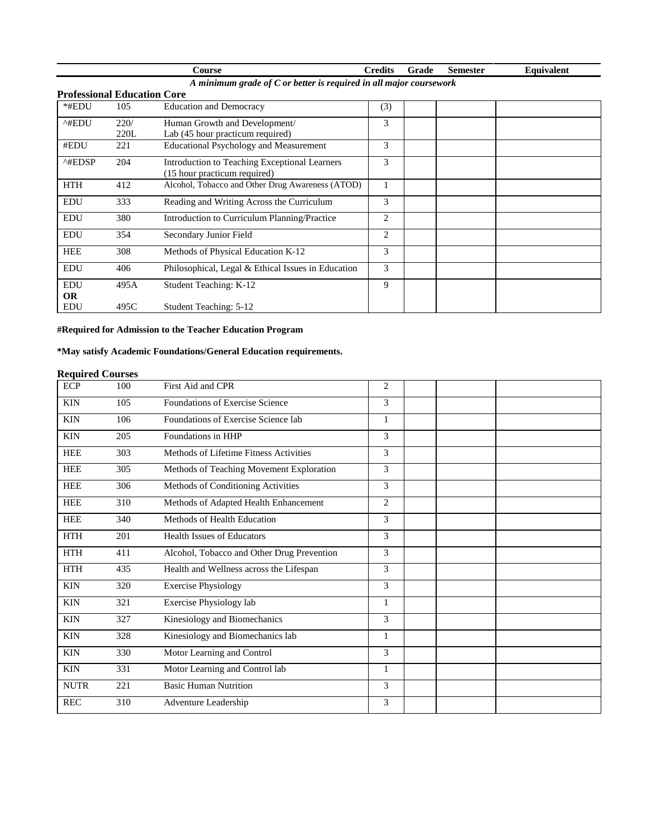|                                    |                                                                    | Course                                                                        | <b>Credits</b> | Grade | <b>Semester</b> | Equivalent |  |  |
|------------------------------------|--------------------------------------------------------------------|-------------------------------------------------------------------------------|----------------|-------|-----------------|------------|--|--|
|                                    | A minimum grade of C or better is required in all major coursework |                                                                               |                |       |                 |            |  |  |
| <b>Professional Education Core</b> |                                                                    |                                                                               |                |       |                 |            |  |  |
| *#EDU                              | 105                                                                | <b>Education and Democracy</b>                                                | (3)            |       |                 |            |  |  |
| ^#EDU                              | 220/<br>220L                                                       | Human Growth and Development/<br>Lab (45 hour practicum required)             | 3              |       |                 |            |  |  |
| #EDU                               | 221                                                                | <b>Educational Psychology and Measurement</b>                                 | 3              |       |                 |            |  |  |
| $^{\wedge\text{HEDSP}}$            | 204                                                                | Introduction to Teaching Exceptional Learners<br>(15 hour practicum required) | 3              |       |                 |            |  |  |
| <b>HTH</b>                         | 412                                                                | Alcohol, Tobacco and Other Drug Awareness (ATOD)                              |                |       |                 |            |  |  |
| <b>EDU</b>                         | 333                                                                | Reading and Writing Across the Curriculum                                     | 3              |       |                 |            |  |  |
| <b>EDU</b>                         | 380                                                                | Introduction to Curriculum Planning/Practice                                  | $\overline{2}$ |       |                 |            |  |  |
| <b>EDU</b>                         | 354                                                                | Secondary Junior Field                                                        | 2              |       |                 |            |  |  |
| <b>HEE</b>                         | 308                                                                | Methods of Physical Education K-12                                            | 3              |       |                 |            |  |  |
| <b>EDU</b>                         | 406                                                                | Philosophical, Legal & Ethical Issues in Education                            | 3              |       |                 |            |  |  |
| <b>EDU</b><br><b>OR</b>            | 495A                                                               | Student Teaching: K-12                                                        | 9              |       |                 |            |  |  |
| <b>EDU</b>                         | 495C                                                               | Student Teaching: 5-12                                                        |                |       |                 |            |  |  |

# **#Required for Admission to the Teacher Education Program**

# **\*May satisfy Academic Foundations/General Education requirements.**

# **Required Courses**

| <b>ECP</b>  | 100 | First Aid and CPR                          | $\overline{c}$ |  |
|-------------|-----|--------------------------------------------|----------------|--|
| <b>KIN</b>  | 105 | <b>Foundations of Exercise Science</b>     | 3              |  |
| <b>KIN</b>  | 106 | Foundations of Exercise Science lab        | $\mathbf{1}$   |  |
| <b>KIN</b>  | 205 | Foundations in HHP                         | 3              |  |
| <b>HEE</b>  | 303 | Methods of Lifetime Fitness Activities     | 3              |  |
| <b>HEE</b>  | 305 | Methods of Teaching Movement Exploration   | 3              |  |
| <b>HEE</b>  | 306 | Methods of Conditioning Activities         | 3              |  |
| <b>HEE</b>  | 310 | Methods of Adapted Health Enhancement      | $\overline{2}$ |  |
| <b>HEE</b>  | 340 | Methods of Health Education                | 3              |  |
| <b>HTH</b>  | 201 | <b>Health Issues of Educators</b>          | 3              |  |
| <b>HTH</b>  | 411 | Alcohol, Tobacco and Other Drug Prevention | 3              |  |
| <b>HTH</b>  | 435 | Health and Wellness across the Lifespan    | 3              |  |
| <b>KIN</b>  | 320 | <b>Exercise Physiology</b>                 | 3              |  |
| <b>KIN</b>  | 321 | Exercise Physiology lab                    | $\mathbf{1}$   |  |
| <b>KIN</b>  | 327 | Kinesiology and Biomechanics               | 3              |  |
| <b>KIN</b>  | 328 | Kinesiology and Biomechanics lab           | 1              |  |
| <b>KIN</b>  | 330 | Motor Learning and Control                 | 3              |  |
| <b>KIN</b>  | 331 | Motor Learning and Control lab             | 1              |  |
| <b>NUTR</b> | 221 | <b>Basic Human Nutrition</b>               | 3              |  |
| <b>REC</b>  | 310 | Adventure Leadership                       | 3              |  |